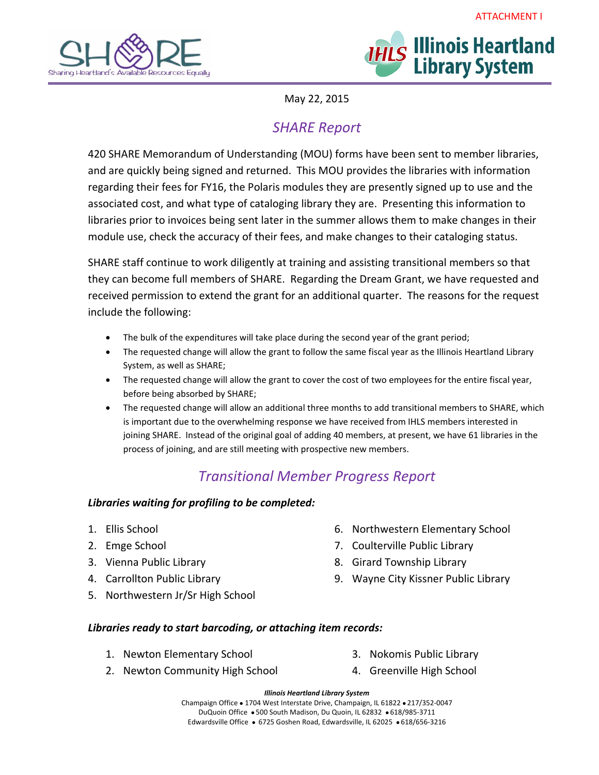



May 22, 2015

# *SHARE Report*

420 SHARE Memorandum of Understanding (MOU) forms have been sent to member libraries, and are quickly being signed and returned. This MOU provides the libraries with information regarding their fees for FY16, the Polaris modules they are presently signed up to use and the associated cost, and what type of cataloging library they are. Presenting this information to libraries prior to invoices being sent later in the summer allows them to make changes in their module use, check the accuracy of their fees, and make changes to their cataloging status.

SHARE staff continue to work diligently at training and assisting transitional members so that they can become full members of SHARE. Regarding the Dream Grant, we have requested and received permission to extend the grant for an additional quarter. The reasons for the request include the following:

- The bulk of the expenditures will take place during the second year of the grant period;
- The requested change will allow the grant to follow the same fiscal year as the Illinois Heartland Library System, as well as SHARE;
- The requested change will allow the grant to cover the cost of two employees for the entire fiscal year, before being absorbed by SHARE;
- The requested change will allow an additional three months to add transitional members to SHARE, which is important due to the overwhelming response we have received from IHLS members interested in joining SHARE. Instead of the original goal of adding 40 members, at present, we have 61 libraries in the process of joining, and are still meeting with prospective new members.

## *Transitional Member Progress Report*

### *Libraries waiting for profiling to be completed:*

- 1. Ellis School
- 2. Emge School
- 3. Vienna Public Library
- 4. Carrollton Public Library
- 5. Northwestern Jr/Sr High School
- 6. Northwestern Elementary School
- 7. Coulterville Public Library
- 8. Girard Township Library
- 9. Wayne City Kissner Public Library

### *Libraries ready to start barcoding, or attaching item records:*

1. Newton Elementary School

- 3. Nokomis Public Library 4. Greenville High School
- 2. Newton Community High School
- 

*Illinois Heartland Library System* Champaign Office . 1704 West Interstate Drive, Champaign, IL 61822 . 217/352-0047 DuQuoin Office 500 South Madison, Du Quoin, IL 62832 618/985‐3711 Edwardsville Office • 6725 Goshen Road, Edwardsville, IL 62025 • 618/656-3216